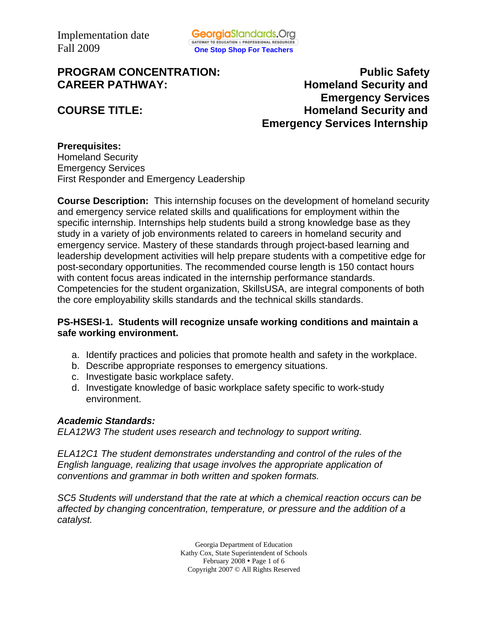# **PROGRAM CONCENTRATION:** PROGRAM CONCENTRATION:

**CAREER PATHWAY: Homeland Security and Emergency Services COURSE TITLE: Homeland Security and Emergency Services Internship** 

#### **Prerequisites:**  Homeland Security Emergency Services First Responder and Emergency Leadership

**Course Description:** This internship focuses on the development of homeland security and emergency service related skills and qualifications for employment within the specific internship. Internships help students build a strong knowledge base as they study in a variety of job environments related to careers in homeland security and emergency service. Mastery of these standards through project-based learning and leadership development activities will help prepare students with a competitive edge for post-secondary opportunities. The recommended course length is 150 contact hours with content focus areas indicated in the internship performance standards. Competencies for the student organization, SkillsUSA, are integral components of both the core employability skills standards and the technical skills standards.

# **PS-HSESI-1. Students will recognize unsafe working conditions and maintain a safe working environment.**

- a. Identify practices and policies that promote health and safety in the workplace.
- b. Describe appropriate responses to emergency situations.
- c. Investigate basic workplace safety.
- d. Investigate knowledge of basic workplace safety specific to work-study environment.

### *Academic Standards:*

*ELA12W3 The student uses research and technology to support writing.* 

*ELA12C1 The student demonstrates understanding and control of the rules of the English language, realizing that usage involves the appropriate application of conventions and grammar in both written and spoken formats.* 

*SC5 Students will understand that the rate at which a chemical reaction occurs can be affected by changing concentration, temperature, or pressure and the addition of a catalyst.* 

> Georgia Department of Education Kathy Cox, State Superintendent of Schools February 2008 • Page 1 of 6 Copyright 2007 © All Rights Reserved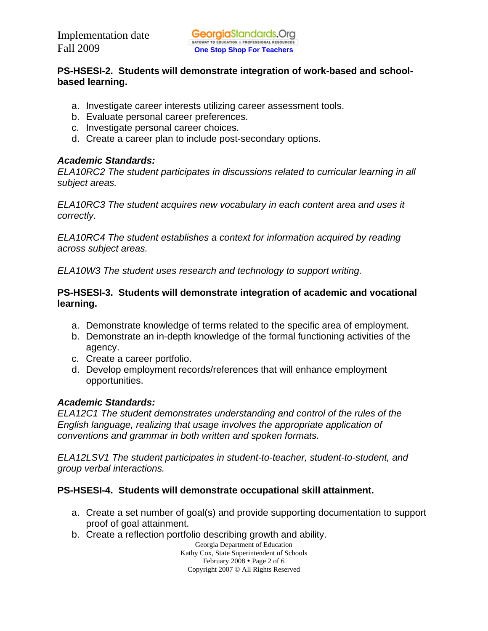# **PS-HSESI-2. Students will demonstrate integration of work-based and schoolbased learning.**

- a. Investigate career interests utilizing career assessment tools.
- b. Evaluate personal career preferences.
- c. Investigate personal career choices.
- d. Create a career plan to include post-secondary options.

# *Academic Standards:*

*ELA10RC2 The student participates in discussions related to curricular learning in all subject areas.* 

*ELA10RC3 The student acquires new vocabulary in each content area and uses it correctly.* 

*ELA10RC4 The student establishes a context for information acquired by reading across subject areas.* 

*ELA10W3 The student uses research and technology to support writing.* 

# **PS-HSESI-3. Students will demonstrate integration of academic and vocational learning.**

- a. Demonstrate knowledge of terms related to the specific area of employment.
- b. Demonstrate an in-depth knowledge of the formal functioning activities of the agency.
- c. Create a career portfolio.
- d. Develop employment records/references that will enhance employment opportunities.

# *Academic Standards:*

*ELA12C1 The student demonstrates understanding and control of the rules of the English language, realizing that usage involves the appropriate application of conventions and grammar in both written and spoken formats.* 

*ELA12LSV1 The student participates in student-to-teacher, student-to-student, and group verbal interactions.* 

# **PS-HSESI-4. Students will demonstrate occupational skill attainment.**

- a. Create a set number of goal(s) and provide supporting documentation to support proof of goal attainment.
- b. Create a reflection portfolio describing growth and ability.

Georgia Department of Education Kathy Cox, State Superintendent of Schools February  $2008 \cdot \text{Page 2 of 6}$ Copyright 2007 © All Rights Reserved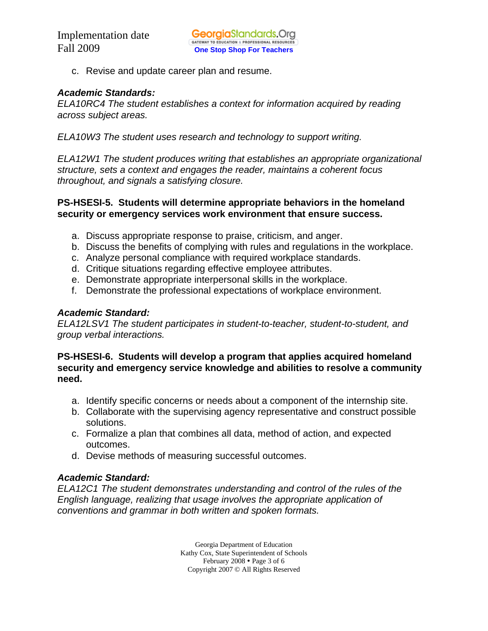c. Revise and update career plan and resume.

#### *Academic Standards:*

*ELA10RC4 The student establishes a context for information acquired by reading across subject areas.* 

*ELA10W3 The student uses research and technology to support writing.* 

*ELA12W1 The student produces writing that establishes an appropriate organizational structure, sets a context and engages the reader, maintains a coherent focus throughout, and signals a satisfying closure.* 

#### **PS-HSESI-5. Students will determine appropriate behaviors in the homeland security or emergency services work environment that ensure success.**

- a. Discuss appropriate response to praise, criticism, and anger.
- b. Discuss the benefits of complying with rules and regulations in the workplace.
- c. Analyze personal compliance with required workplace standards.
- d. Critique situations regarding effective employee attributes.
- e. Demonstrate appropriate interpersonal skills in the workplace.
- f. Demonstrate the professional expectations of workplace environment.

#### *Academic Standard:*

*ELA12LSV1 The student participates in student-to-teacher, student-to-student, and group verbal interactions.* 

**PS-HSESI-6. Students will develop a program that applies acquired homeland security and emergency service knowledge and abilities to resolve a community need.** 

- a. Identify specific concerns or needs about a component of the internship site.
- b. Collaborate with the supervising agency representative and construct possible solutions.
- c. Formalize a plan that combines all data, method of action, and expected outcomes.
- d. Devise methods of measuring successful outcomes.

#### *Academic Standard:*

*ELA12C1 The student demonstrates understanding and control of the rules of the English language, realizing that usage involves the appropriate application of conventions and grammar in both written and spoken formats.* 

> Georgia Department of Education Kathy Cox, State Superintendent of Schools February  $2008 \cdot \text{Page 3 of 6}$ Copyright 2007 © All Rights Reserved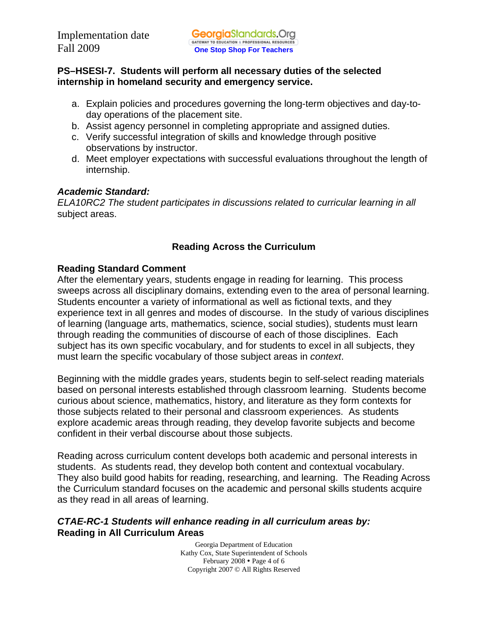# **PS–HSESI-7. Students will perform all necessary duties of the selected internship in homeland security and emergency service.**

- a. Explain policies and procedures governing the long-term objectives and day-today operations of the placement site.
- b. Assist agency personnel in completing appropriate and assigned duties.
- c. Verify successful integration of skills and knowledge through positive observations by instructor.
- d. Meet employer expectations with successful evaluations throughout the length of internship.

# *Academic Standard:*

*ELA10RC2 The student participates in discussions related to curricular learning in all*  subject areas.

# **Reading Across the Curriculum**

# **Reading Standard Comment**

After the elementary years, students engage in reading for learning. This process sweeps across all disciplinary domains, extending even to the area of personal learning. Students encounter a variety of informational as well as fictional texts, and they experience text in all genres and modes of discourse. In the study of various disciplines of learning (language arts, mathematics, science, social studies), students must learn through reading the communities of discourse of each of those disciplines. Each subject has its own specific vocabulary, and for students to excel in all subjects, they must learn the specific vocabulary of those subject areas in *context*.

Beginning with the middle grades years, students begin to self-select reading materials based on personal interests established through classroom learning. Students become curious about science, mathematics, history, and literature as they form contexts for those subjects related to their personal and classroom experiences. As students explore academic areas through reading, they develop favorite subjects and become confident in their verbal discourse about those subjects.

Reading across curriculum content develops both academic and personal interests in students. As students read, they develop both content and contextual vocabulary. They also build good habits for reading, researching, and learning. The Reading Across the Curriculum standard focuses on the academic and personal skills students acquire as they read in all areas of learning.

### *CTAE-RC-1 Students will enhance reading in all curriculum areas by:*  **Reading in All Curriculum Areas**

Georgia Department of Education Kathy Cox, State Superintendent of Schools February  $2008 \cdot \text{Page } 4$  of 6 Copyright 2007 © All Rights Reserved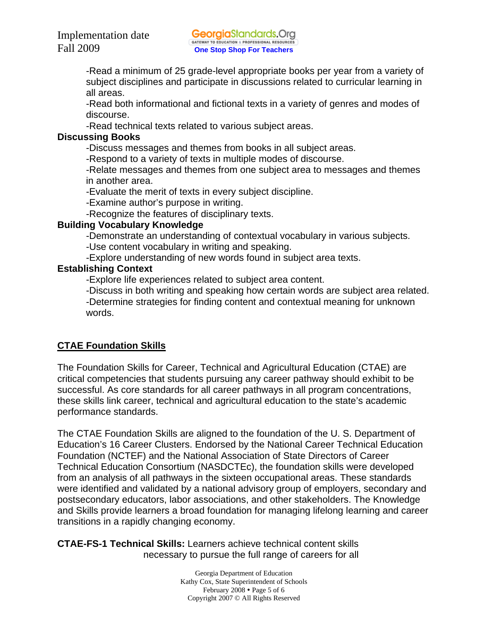-Read a minimum of 25 grade-level appropriate books per year from a variety of subject disciplines and participate in discussions related to curricular learning in all areas.

-Read both informational and fictional texts in a variety of genres and modes of discourse.

-Read technical texts related to various subject areas.

#### **Discussing Books**

-Discuss messages and themes from books in all subject areas.

-Respond to a variety of texts in multiple modes of discourse.

-Relate messages and themes from one subject area to messages and themes in another area.

-Evaluate the merit of texts in every subject discipline.

-Examine author's purpose in writing.

-Recognize the features of disciplinary texts.

### **Building Vocabulary Knowledge**

-Demonstrate an understanding of contextual vocabulary in various subjects.

-Use content vocabulary in writing and speaking.

-Explore understanding of new words found in subject area texts.

### **Establishing Context**

-Explore life experiences related to subject area content.

-Discuss in both writing and speaking how certain words are subject area related. -Determine strategies for finding content and contextual meaning for unknown words.

# **CTAE Foundation Skills**

The Foundation Skills for Career, Technical and Agricultural Education (CTAE) are critical competencies that students pursuing any career pathway should exhibit to be successful. As core standards for all career pathways in all program concentrations, these skills link career, technical and agricultural education to the state's academic performance standards.

The CTAE Foundation Skills are aligned to the foundation of the U. S. Department of Education's 16 Career Clusters. Endorsed by the National Career Technical Education Foundation (NCTEF) and the National Association of State Directors of Career Technical Education Consortium (NASDCTEc), the foundation skills were developed from an analysis of all pathways in the sixteen occupational areas. These standards were identified and validated by a national advisory group of employers, secondary and postsecondary educators, labor associations, and other stakeholders. The Knowledge and Skills provide learners a broad foundation for managing lifelong learning and career transitions in a rapidly changing economy.

**CTAE-FS-1 Technical Skills:** Learners achieve technical content skills necessary to pursue the full range of careers for all

> Georgia Department of Education Kathy Cox, State Superintendent of Schools February 2008  $\cdot$  Page 5 of 6 Copyright 2007 © All Rights Reserved